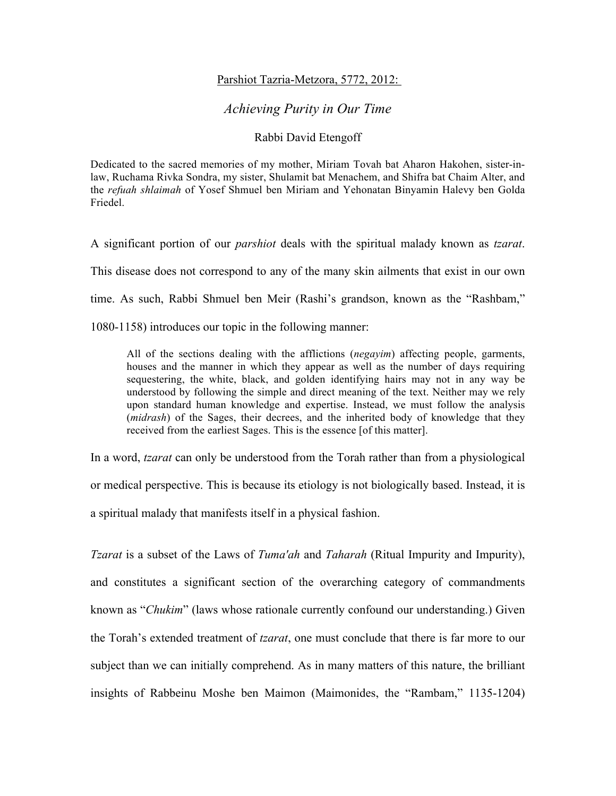## Parshiot Tazria-Metzora, 5772, 2012:

## *Achieving Purity in Our Time*

## Rabbi David Etengoff

Dedicated to the sacred memories of my mother, Miriam Tovah bat Aharon Hakohen, sister-inlaw, Ruchama Rivka Sondra, my sister, Shulamit bat Menachem, and Shifra bat Chaim Alter, and the *refuah shlaimah* of Yosef Shmuel ben Miriam and Yehonatan Binyamin Halevy ben Golda Friedel.

A significant portion of our *parshiot* deals with the spiritual malady known as *tzarat*.

This disease does not correspond to any of the many skin ailments that exist in our own

time. As such, Rabbi Shmuel ben Meir (Rashi's grandson, known as the "Rashbam,"

1080-1158) introduces our topic in the following manner:

All of the sections dealing with the afflictions (*negayim*) affecting people, garments, houses and the manner in which they appear as well as the number of days requiring sequestering, the white, black, and golden identifying hairs may not in any way be understood by following the simple and direct meaning of the text. Neither may we rely upon standard human knowledge and expertise. Instead, we must follow the analysis (*midrash*) of the Sages, their decrees, and the inherited body of knowledge that they received from the earliest Sages. This is the essence [of this matter].

In a word, *tzarat* can only be understood from the Torah rather than from a physiological or medical perspective. This is because its etiology is not biologically based. Instead, it is a spiritual malady that manifests itself in a physical fashion.

*Tzarat* is a subset of the Laws of *Tuma'ah* and *Taharah* (Ritual Impurity and Impurity), and constitutes a significant section of the overarching category of commandments known as "*Chukim*" (laws whose rationale currently confound our understanding.) Given the Torah's extended treatment of *tzarat*, one must conclude that there is far more to our subject than we can initially comprehend. As in many matters of this nature, the brilliant insights of Rabbeinu Moshe ben Maimon (Maimonides, the "Rambam," 1135-1204)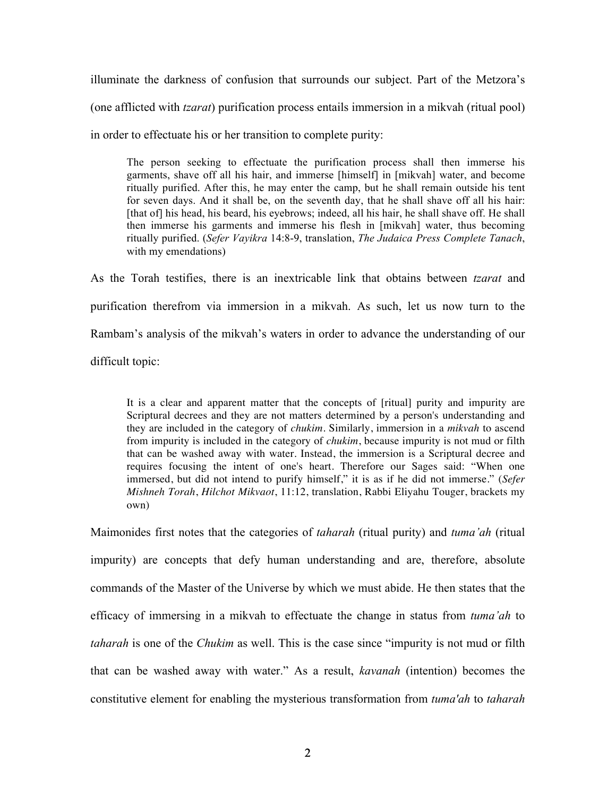illuminate the darkness of confusion that surrounds our subject. Part of the Metzora's (one afflicted with *tzarat*) purification process entails immersion in a mikvah (ritual pool) in order to effectuate his or her transition to complete purity:

The person seeking to effectuate the purification process shall then immerse his garments, shave off all his hair, and immerse [himself] in [mikvah] water, and become ritually purified. After this, he may enter the camp, but he shall remain outside his tent for seven days. And it shall be, on the seventh day, that he shall shave off all his hair: [that of] his head, his beard, his eyebrows; indeed, all his hair, he shall shave off. He shall then immerse his garments and immerse his flesh in [mikvah] water, thus becoming ritually purified. (*Sefer Vayikra* 14:8-9, translation, *The Judaica Press Complete Tanach*, with my emendations)

As the Torah testifies, there is an inextricable link that obtains between *tzarat* and purification therefrom via immersion in a mikvah. As such, let us now turn to the Rambam's analysis of the mikvah's waters in order to advance the understanding of our difficult topic:

It is a clear and apparent matter that the concepts of [ritual] purity and impurity are Scriptural decrees and they are not matters determined by a person's understanding and they are included in the category of *chukim*. Similarly, immersion in a *mikvah* to ascend from impurity is included in the category of *chukim*, because impurity is not mud or filth that can be washed away with water. Instead, the immersion is a Scriptural decree and requires focusing the intent of one's heart. Therefore our Sages said: "When one immersed, but did not intend to purify himself," it is as if he did not immerse." (*Sefer Mishneh Torah*, *Hilchot Mikvaot*, 11:12, translation, Rabbi Eliyahu Touger, brackets my own)

Maimonides first notes that the categories of *taharah* (ritual purity) and *tuma'ah* (ritual impurity) are concepts that defy human understanding and are, therefore, absolute commands of the Master of the Universe by which we must abide. He then states that the efficacy of immersing in a mikvah to effectuate the change in status from *tuma'ah* to *taharah* is one of the *Chukim* as well. This is the case since "impurity is not mud or filth that can be washed away with water." As a result, *kavanah* (intention) becomes the constitutive element for enabling the mysterious transformation from *tuma'ah* to *taharah*